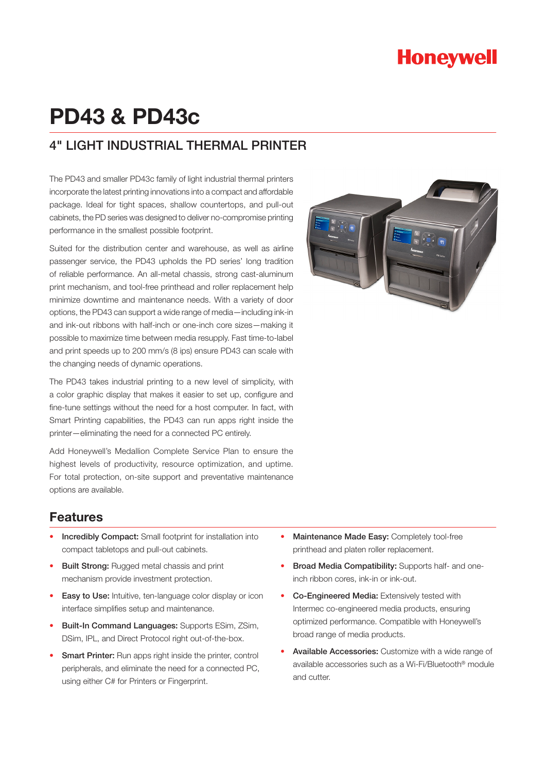# **Honeywell**

# **PD43 & PD43c**

### 4" LIGHT INDUSTRIAL THERMAL PRINTER

The PD43 and smaller PD43c family of light industrial thermal printers incorporate the latest printing innovations into a compact and affordable package. Ideal for tight spaces, shallow countertops, and pull-out cabinets, the PD series was designed to deliver no-compromise printing performance in the smallest possible footprint.

Suited for the distribution center and warehouse, as well as airline passenger service, the PD43 upholds the PD series' long tradition of reliable performance. An all-metal chassis, strong cast-aluminum print mechanism, and tool-free printhead and roller replacement help minimize downtime and maintenance needs. With a variety of door options, the PD43 can support a wide range of media—including ink-in and ink-out ribbons with half-inch or one-inch core sizes—making it possible to maximize time between media resupply. Fast time-to-label and print speeds up to 200 mm/s (8 ips) ensure PD43 can scale with the changing needs of dynamic operations.

The PD43 takes industrial printing to a new level of simplicity, with a color graphic display that makes it easier to set up, configure and fine-tune settings without the need for a host computer. In fact, with Smart Printing capabilities, the PD43 can run apps right inside the printer—eliminating the need for a connected PC entirely.

Add Honeywell's Medallion Complete Service Plan to ensure the highest levels of productivity, resource optimization, and uptime. For total protection, on-site support and preventative maintenance options are available.

### **Features**

- Incredibly Compact: Small footprint for installation into compact tabletops and pull-out cabinets.
- **Built Strong:** Rugged metal chassis and print mechanism provide investment protection.
- Easy to Use: Intuitive, ten-language color display or icon interface simplifies setup and maintenance.
- • Built-In Command Languages: Supports ESim, ZSim, DSim, IPL, and Direct Protocol right out-of-the-box.
- Smart Printer: Run apps right inside the printer, control peripherals, and eliminate the need for a connected PC, using either C# for Printers or Fingerprint.



- Maintenance Made Easy: Completely tool-free printhead and platen roller replacement.
- **Broad Media Compatibility:** Supports half- and oneinch ribbon cores, ink-in or ink-out.
- • Co-Engineered Media: Extensively tested with Intermec co-engineered media products, ensuring optimized performance. Compatible with Honeywell's broad range of media products.
- Available Accessories: Customize with a wide range of available accessories such as a Wi-Fi/Bluetooth® module and cutter.